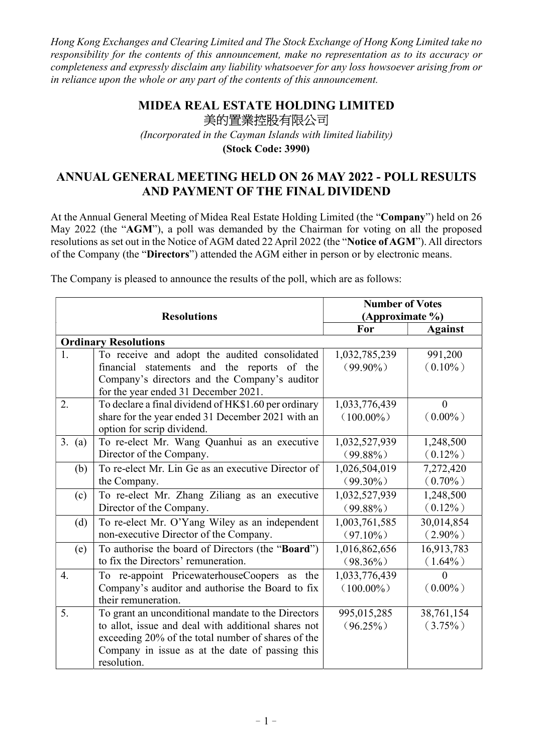Hong Kong Exchanges and Clearing Limited and The Stock Exchange of Hong Kong Limited take no responsibility for the contents of this announcement, make no representation as to its accuracy or completeness and expressly disclaim any liability whatsoever for any loss howsoever arising from or in reliance upon the whole or any part of the contents of this announcement.

## MIDEA REAL ESTATE HOLDING LIMITED 美的置業控股有限公司

(Incorporated in the Cayman Islands with limited liability)

(Stock Code: 3990)

## ANNUAL GENERAL MEETING HELD ON 26 MAY 2022 - POLL RESULTS AND PAYMENT OF THE FINAL DIVIDEND

At the Annual General Meeting of Midea Real Estate Holding Limited (the "Company") held on 26 May 2022 (the "AGM"), a poll was demanded by the Chairman for voting on all the proposed resolutions as set out in the Notice of AGM dated 22 April 2022 (the "Notice of AGM"). All directors of the Company (the "Directors") attended the AGM either in person or by electronic means.

| <b>Resolutions</b>          |                                                      | <b>Number of Votes</b> |                |  |
|-----------------------------|------------------------------------------------------|------------------------|----------------|--|
|                             |                                                      | (Approximate %)        |                |  |
|                             |                                                      | For                    | <b>Against</b> |  |
| <b>Ordinary Resolutions</b> |                                                      |                        |                |  |
| 1.                          | To receive and adopt the audited consolidated        | 1,032,785,239          | 991,200        |  |
|                             | financial statements and the reports of the          | $(99.90\%)$            | $(0.10\%)$     |  |
|                             | Company's directors and the Company's auditor        |                        |                |  |
|                             | for the year ended 31 December 2021.                 |                        |                |  |
| 2.                          | To declare a final dividend of HK\$1.60 per ordinary | 1,033,776,439          | $\theta$       |  |
|                             | share for the year ended 31 December 2021 with an    | $(100.00\%)$           | $(0.00\%)$     |  |
|                             | option for scrip dividend.                           |                        |                |  |
| 3. (a)                      | To re-elect Mr. Wang Quanhui as an executive         | 1,032,527,939          | 1,248,500      |  |
|                             | Director of the Company.                             | $(99.88\%)$            | $(0.12\%)$     |  |
| (b)                         | To re-elect Mr. Lin Ge as an executive Director of   | 1,026,504,019          | 7,272,420      |  |
|                             | the Company.                                         | $(99.30\%)$            | $(0.70\%)$     |  |
| (c)                         | To re-elect Mr. Zhang Ziliang as an executive        | 1,032,527,939          | 1,248,500      |  |
|                             | Director of the Company.                             | $(99.88\%)$            | $(0.12\%)$     |  |
| (d)                         | To re-elect Mr. O'Yang Wiley as an independent       | 1,003,761,585          | 30,014,854     |  |
|                             | non-executive Director of the Company.               | $(97.10\%)$            | $(2.90\%)$     |  |
| (e)                         | To authorise the board of Directors (the "Board")    | 1,016,862,656          | 16,913,783     |  |
|                             | to fix the Directors' remuneration.                  | $(98.36\%)$            | $(1.64\%)$     |  |
| $\overline{4}$ .            | To re-appoint PricewaterhouseCoopers as the          | 1,033,776,439          | $\theta$       |  |
|                             | Company's auditor and authorise the Board to fix     | $(100.00\%)$           | $(0.00\%)$     |  |
|                             | their remuneration.                                  |                        |                |  |
| 5.                          | To grant an unconditional mandate to the Directors   | 995,015,285            | 38,761,154     |  |
|                             | to allot, issue and deal with additional shares not  | $(96.25\%)$            | $(3.75\%)$     |  |
|                             | exceeding 20% of the total number of shares of the   |                        |                |  |
|                             | Company in issue as at the date of passing this      |                        |                |  |
|                             | resolution.                                          |                        |                |  |

The Company is pleased to announce the results of the poll, which are as follows: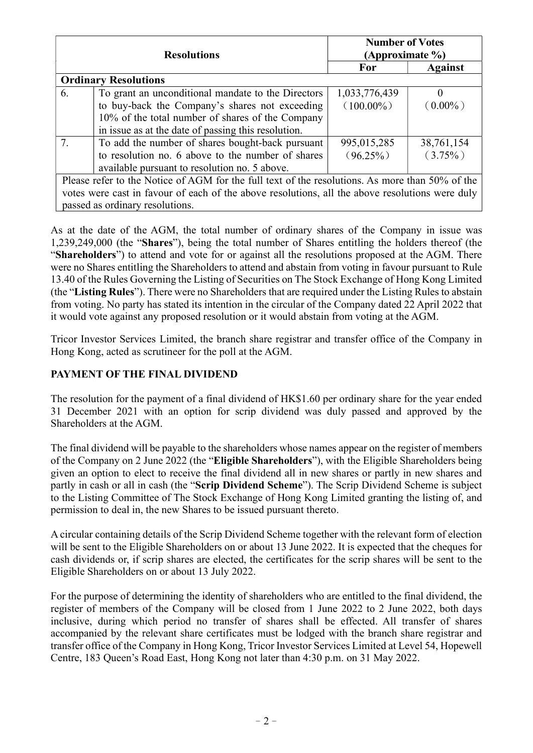|    | <b>Resolutions</b>                                                                              | <b>Number of Votes</b><br>(Approximate $\%$ ) |                |
|----|-------------------------------------------------------------------------------------------------|-----------------------------------------------|----------------|
|    |                                                                                                 | For                                           | <b>Against</b> |
|    | <b>Ordinary Resolutions</b>                                                                     |                                               |                |
| 6. | To grant an unconditional mandate to the Directors                                              | 1,033,776,439                                 |                |
|    | to buy-back the Company's shares not exceeding                                                  | $(100.00\%)$                                  | $(0.00\%)$     |
|    | 10% of the total number of shares of the Company                                                |                                               |                |
|    | in issue as at the date of passing this resolution.                                             |                                               |                |
| 7. | To add the number of shares bought-back pursuant                                                | 995,015,285                                   | 38,761,154     |
|    | to resolution no. 6 above to the number of shares                                               | $(96.25\%)$                                   | $(3.75\%)$     |
|    | available pursuant to resolution no. 5 above.                                                   |                                               |                |
|    | Please refer to the Notice of AGM for the full text of the resolutions. As more than 50% of the |                                               |                |
|    | votes were cast in favour of each of the above resolutions, all the above resolutions were duly |                                               |                |

As at the date of the AGM, the total number of ordinary shares of the Company in issue was 1,239,249,000 (the "Shares"), being the total number of Shares entitling the holders thereof (the "Shareholders") to attend and vote for or against all the resolutions proposed at the AGM. There were no Shares entitling the Shareholders to attend and abstain from voting in favour pursuant to Rule 13.40 of the Rules Governing the Listing of Securities on The Stock Exchange of Hong Kong Limited (the "Listing Rules"). There were no Shareholders that are required under the Listing Rules to abstain from voting. No party has stated its intention in the circular of the Company dated 22 April 2022 that it would vote against any proposed resolution or it would abstain from voting at the AGM.

Tricor Investor Services Limited, the branch share registrar and transfer office of the Company in Hong Kong, acted as scrutineer for the poll at the AGM.

## PAYMENT OF THE FINAL DIVIDEND

passed as ordinary resolutions.

The resolution for the payment of a final dividend of HK\$1.60 per ordinary share for the year ended 31 December 2021 with an option for scrip dividend was duly passed and approved by the Shareholders at the AGM.

The final dividend will be payable to the shareholders whose names appear on the register of members of the Company on 2 June 2022 (the "Eligible Shareholders"), with the Eligible Shareholders being given an option to elect to receive the final dividend all in new shares or partly in new shares and partly in cash or all in cash (the "Scrip Dividend Scheme"). The Scrip Dividend Scheme is subject to the Listing Committee of The Stock Exchange of Hong Kong Limited granting the listing of, and permission to deal in, the new Shares to be issued pursuant thereto.

A circular containing details of the Scrip Dividend Scheme together with the relevant form of election will be sent to the Eligible Shareholders on or about 13 June 2022. It is expected that the cheques for cash dividends or, if scrip shares are elected, the certificates for the scrip shares will be sent to the Eligible Shareholders on or about 13 July 2022.

For the purpose of determining the identity of shareholders who are entitled to the final dividend, the register of members of the Company will be closed from 1 June 2022 to 2 June 2022, both days inclusive, during which period no transfer of shares shall be effected. All transfer of shares accompanied by the relevant share certificates must be lodged with the branch share registrar and transfer office of the Company in Hong Kong, Tricor Investor Services Limited at Level 54, Hopewell Centre, 183 Queen's Road East, Hong Kong not later than 4:30 p.m. on 31 May 2022.